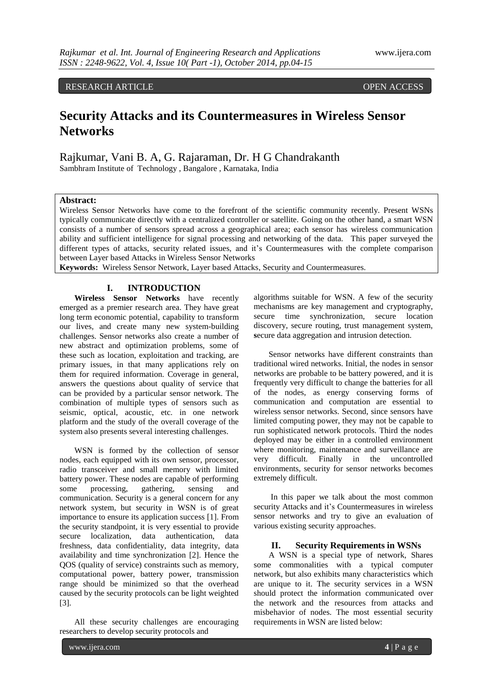RESEARCH ARTICLE OPEN ACCESS

# **Security Attacks and its Countermeasures in Wireless Sensor Networks**

Rajkumar, Vani B. A, G. Rajaraman, Dr. H G Chandrakanth

Sambhram Institute of Technology , Bangalore , Karnataka, India

## **Abstract:**

Wireless Sensor Networks have come to the forefront of the scientific community recently. Present WSNs typically communicate directly with a centralized controller or satellite. Going on the other hand, a smart WSN consists of a number of sensors spread across a geographical area; each sensor has wireless communication ability and sufficient intelligence for signal processing and networking of the data. This paper surveyed the different types of attacks, security related issues, and it's Countermeasures with the complete comparison between Layer based Attacks in Wireless Sensor Networks

**Keywords:** Wireless Sensor Network, Layer based Attacks, Security and Countermeasures.

# **I. INTRODUCTION**

**Wireless Sensor Networks** have recently emerged as a premier research area. They have great long term economic potential, capability to transform our lives, and create many new system-building challenges. Sensor networks also create a number of new abstract and optimization problems, some of these such as location, exploitation and tracking, are primary issues, in that many applications rely on them for required information. Coverage in general, answers the questions about quality of service that can be provided by a particular sensor network. The combination of multiple types of sensors such as seismic, optical, acoustic, etc. in one network platform and the study of the overall coverage of the system also presents several interesting challenges.

WSN is formed by the collection of sensor nodes, each equipped with its own sensor, processor, radio transceiver and small memory with limited battery power. These nodes are capable of performing some processing, gathering, sensing and communication. Security is a general concern for any network system, but security in WSN is of great importance to ensure its application success [1]. From the security standpoint, it is very essential to provide secure localization, data authentication, data freshness, data confidentiality, data integrity, data availability and time synchronization [2]. Hence the QOS (quality of service) constraints such as memory, computational power, battery power, transmission range should be minimized so that the overhead caused by the security protocols can be light weighted [3].

All these security challenges are encouraging researchers to develop security protocols and

algorithms suitable for WSN. A few of the security mechanisms are key management and cryptography, secure time synchronization, secure location discovery, secure routing, trust management system, **s**ecure data aggregation and intrusion detection.

Sensor networks have different constraints than traditional wired networks. Initial, the nodes in sensor networks are probable to be battery powered, and it is frequently very difficult to change the batteries for all of the nodes, as energy conserving forms of communication and computation are essential to wireless sensor networks. Second, since sensors have limited computing power, they may not be capable to run sophisticated network protocols. Third the nodes deployed may be either in a controlled environment where monitoring, maintenance and surveillance are very difficult. Finally in the uncontrolled environments, security for sensor networks becomes extremely difficult.

In this paper we talk about the most common security Attacks and it's Countermeasures in wireless sensor networks and try to give an evaluation of various existing security approaches.

#### **II. Security Requirements in WSNs**

A WSN is a special type of network, Shares some commonalities with a typical computer network, but also exhibits many characteristics which are unique to it. The security services in a WSN should protect the information communicated over the network and the resources from attacks and misbehavior of nodes. The most essential security requirements in WSN are listed below:

www.ijera.com **4** | P a g e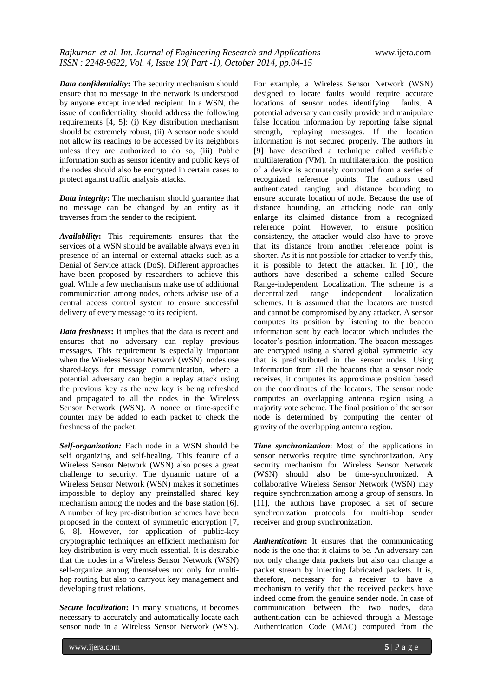*Data confidentiality***:** The security mechanism should ensure that no message in the network is understood by anyone except intended recipient. In a WSN, the issue of confidentiality should address the following requirements [4, 5]: (i) Key distribution mechanism should be extremely robust, (ii) A sensor node should not allow its readings to be accessed by its neighbors unless they are authorized to do so, (iii) Public information such as sensor identity and public keys of the nodes should also be encrypted in certain cases to protect against traffic analysis attacks.

*Data integrity***:** The mechanism should guarantee that no message can be changed by an entity as it traverses from the sender to the recipient.

*Availability***:** This requirements ensures that the services of a WSN should be available always even in presence of an internal or external attacks such as a Denial of Service attack (DoS). Different approaches have been proposed by researchers to achieve this goal. While a few mechanisms make use of additional communication among nodes, others advise use of a central access control system to ensure successful delivery of every message to its recipient.

*Data freshness***:** It implies that the data is recent and ensures that no adversary can replay previous messages. This requirement is especially important when the Wireless Sensor Network (WSN) nodes use shared-keys for message communication, where a potential adversary can begin a replay attack using the previous key as the new key is being refreshed and propagated to all the nodes in the Wireless Sensor Network (WSN). A nonce or time-specific counter may be added to each packet to check the freshness of the packet.

*Self-organization:* Each node in a WSN should be self organizing and self-healing. This feature of a Wireless Sensor Network (WSN) also poses a great challenge to security. The dynamic nature of a Wireless Sensor Network (WSN) makes it sometimes impossible to deploy any preinstalled shared key mechanism among the nodes and the base station [6]. A number of key pre-distribution schemes have been proposed in the context of symmetric encryption [7, 6, 8]. However, for application of public-key cryptographic techniques an efficient mechanism for key distribution is very much essential. It is desirable that the nodes in a Wireless Sensor Network (WSN) self-organize among themselves not only for multihop routing but also to carryout key management and developing trust relations.

*Secure localization***:** In many situations, it becomes necessary to accurately and automatically locate each sensor node in a Wireless Sensor Network (WSN).

For example, a Wireless Sensor Network (WSN) designed to locate faults would require accurate locations of sensor nodes identifying faults. A potential adversary can easily provide and manipulate false location information by reporting false signal strength, replaying messages. If the location information is not secured properly. The authors in [9] have described a technique called verifiable multilateration (VM). In multilateration, the position of a device is accurately computed from a series of recognized reference points. The authors used authenticated ranging and distance bounding to ensure accurate location of node. Because the use of distance bounding, an attacking node can only enlarge its claimed distance from a recognized reference point. However, to ensure position consistency, the attacker would also have to prove that its distance from another reference point is shorter. As it is not possible for attacker to verify this, it is possible to detect the attacker. In [10], the authors have described a scheme called Secure Range-independent Localization. The scheme is a decentralized range independent localization schemes. It is assumed that the locators are trusted and cannot be compromised by any attacker. A sensor computes its position by listening to the beacon information sent by each locator which includes the locator's position information. The beacon messages are encrypted using a shared global symmetric key that is predistributed in the sensor nodes. Using information from all the beacons that a sensor node receives, it computes its approximate position based on the coordinates of the locators. The sensor node computes an overlapping antenna region using a majority vote scheme. The final position of the sensor node is determined by computing the center of gravity of the overlapping antenna region.

*Time synchronization*: Most of the applications in sensor networks require time synchronization. Any security mechanism for Wireless Sensor Network (WSN) should also be time-synchronized. A collaborative Wireless Sensor Network (WSN) may require synchronization among a group of sensors. In [11], the authors have proposed a set of secure synchronization protocols for multi-hop sender receiver and group synchronization.

*Authentication***:** It ensures that the communicating node is the one that it claims to be. An adversary can not only change data packets but also can change a packet stream by injecting fabricated packets. It is, therefore, necessary for a receiver to have a mechanism to verify that the received packets have indeed come from the genuine sender node. In case of communication between the two nodes, data authentication can be achieved through a Message Authentication Code (MAC) computed from the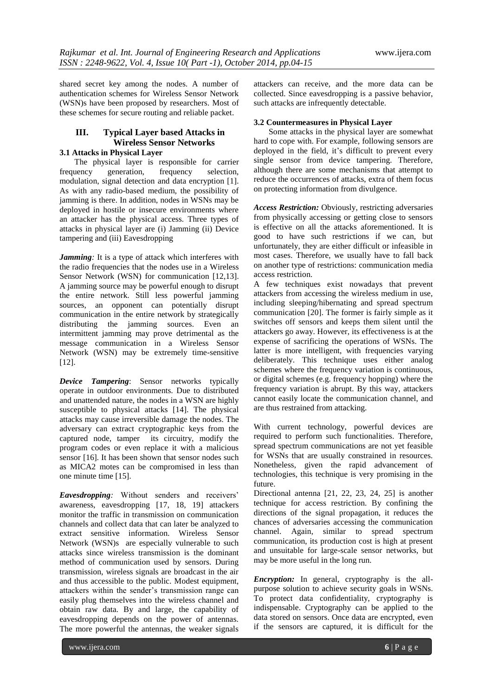shared secret key among the nodes. A number of authentication schemes for Wireless Sensor Network (WSN)s have been proposed by researchers. Most of these schemes for secure routing and reliable packet.

## **III. Typical Layer based Attacks in Wireless Sensor Networks 3.1 Attacks in Physical Layer**

The physical layer is responsible for carrier frequency generation, frequency selection, modulation, signal detection and data encryption [1]. As with any radio-based medium, the possibility of jamming is there. In addition, nodes in WSNs may be deployed in hostile or insecure environments where an attacker has the physical access. Three types of attacks in physical layer are (i) Jamming (ii) Device tampering and (iii) Eavesdropping

Jamming: It is a type of attack which interferes with the radio frequencies that the nodes use in a Wireless Sensor Network (WSN) for communication [12,13]. A jamming source may be powerful enough to disrupt the entire network. Still less powerful jamming sources, an opponent can potentially disrupt communication in the entire network by strategically distributing the jamming sources. Even an intermittent jamming may prove detrimental as the message communication in a Wireless Sensor Network (WSN) may be extremely time-sensitive [12].

*Device Tampering*: Sensor networks typically operate in outdoor environments. Due to distributed and unattended nature, the nodes in a WSN are highly susceptible to physical attacks [14]. The physical attacks may cause irreversible damage the nodes. The adversary can extract cryptographic keys from the captured node, tamper its circuitry, modify the program codes or even replace it with a malicious sensor [16]. It has been shown that sensor nodes such as MICA2 motes can be compromised in less than one minute time [15].

*Eavesdropping:* Without senders and receivers' awareness, eavesdropping [17, 18, 19] attackers monitor the traffic in transmission on communication channels and collect data that can later be analyzed to extract sensitive information. Wireless Sensor Network (WSN)s are especially vulnerable to such attacks since wireless transmission is the dominant method of communication used by sensors. During transmission, wireless signals are broadcast in the air and thus accessible to the public. Modest equipment, attackers within the sender's transmission range can easily plug themselves into the wireless channel and obtain raw data. By and large, the capability of eavesdropping depends on the power of antennas. The more powerful the antennas, the weaker signals

attackers can receive, and the more data can be collected. Since eavesdropping is a passive behavior, such attacks are infrequently detectable.

## **3.2 Countermeasures in Physical Layer**

Some attacks in the physical layer are somewhat hard to cope with. For example, following sensors are deployed in the field, it's difficult to prevent every single sensor from device tampering. Therefore, although there are some mechanisms that attempt to reduce the occurrences of attacks, extra of them focus on protecting information from divulgence.

*Access Restriction:* Obviously, restricting adversaries from physically accessing or getting close to sensors is effective on all the attacks aforementioned. It is good to have such restrictions if we can, but unfortunately, they are either difficult or infeasible in most cases. Therefore, we usually have to fall back on another type of restrictions: communication media access restriction.

A few techniques exist nowadays that prevent attackers from accessing the wireless medium in use, including sleeping/hibernating and spread spectrum communication [20]. The former is fairly simple as it switches off sensors and keeps them silent until the attackers go away. However, its effectiveness is at the expense of sacrificing the operations of WSNs. The latter is more intelligent, with frequencies varying deliberately. This technique uses either analog schemes where the frequency variation is continuous, or digital schemes (e.g. frequency hopping) where the frequency variation is abrupt. By this way, attackers cannot easily locate the communication channel, and are thus restrained from attacking.

With current technology, powerful devices are required to perform such functionalities. Therefore, spread spectrum communications are not yet feasible for WSNs that are usually constrained in resources. Nonetheless, given the rapid advancement of technologies, this technique is very promising in the future.

Directional antenna [21, 22, 23, 24, 25] is another technique for access restriction. By confining the directions of the signal propagation, it reduces the chances of adversaries accessing the communication channel. Again, similar to spread spectrum communication, its production cost is high at present and unsuitable for large-scale sensor networks, but may be more useful in the long run.

*Encryption:* In general, cryptography is the allpurpose solution to achieve security goals in WSNs. To protect data confidentiality, cryptography is indispensable. Cryptography can be applied to the data stored on sensors. Once data are encrypted, even if the sensors are captured, it is difficult for the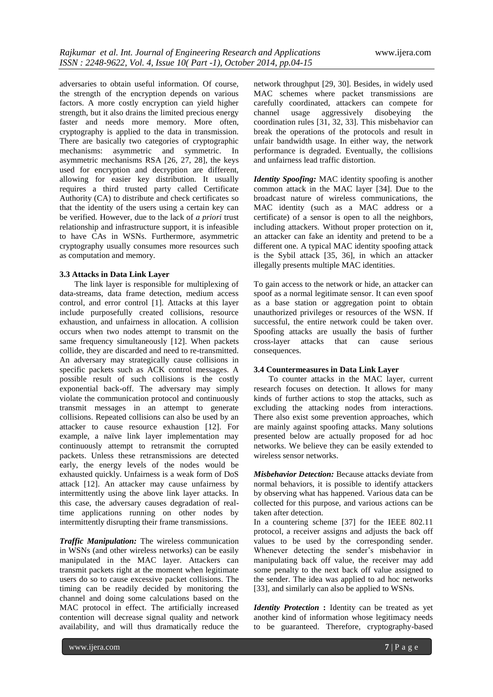adversaries to obtain useful information. Of course, the strength of the encryption depends on various factors. A more costly encryption can yield higher strength, but it also drains the limited precious energy faster and needs more memory. More often, cryptography is applied to the data in transmission. There are basically two categories of cryptographic mechanisms: asymmetric and symmetric. In asymmetric mechanisms RSA [26, 27, 28], the keys used for encryption and decryption are different, allowing for easier key distribution. It usually requires a third trusted party called Certificate Authority (CA) to distribute and check certificates so that the identity of the users using a certain key can be verified. However, due to the lack of *a priori* trust relationship and infrastructure support, it is infeasible to have CAs in WSNs. Furthermore, asymmetric cryptography usually consumes more resources such as computation and memory.

## **3.3 Attacks in Data Link Layer**

The link layer is responsible for multiplexing of data-streams, data frame detection, medium access control, and error control [1]. Attacks at this layer include purposefully created collisions, resource exhaustion, and unfairness in allocation. A collision occurs when two nodes attempt to transmit on the same frequency simultaneously [12]. When packets collide, they are discarded and need to re-transmitted. An adversary may strategically cause collisions in specific packets such as ACK control messages. A possible result of such collisions is the costly exponential back-off. The adversary may simply violate the communication protocol and continuously transmit messages in an attempt to generate collisions. Repeated collisions can also be used by an attacker to cause resource exhaustion [12]. For example, a naïve link layer implementation may continuously attempt to retransmit the corrupted packets. Unless these retransmissions are detected early, the energy levels of the nodes would be exhausted quickly. Unfairness is a weak form of DoS attack [12]. An attacker may cause unfairness by intermittently using the above link layer attacks. In this case, the adversary causes degradation of realtime applications running on other nodes by intermittently disrupting their frame transmissions.

*Traffic Manipulation:* The wireless communication in WSNs (and other wireless networks) can be easily manipulated in the MAC layer. Attackers can transmit packets right at the moment when legitimate users do so to cause excessive packet collisions. The timing can be readily decided by monitoring the channel and doing some calculations based on the MAC protocol in effect. The artificially increased contention will decrease signal quality and network availability, and will thus dramatically reduce the

network throughput [29, 30]. Besides, in widely used MAC schemes where packet transmissions are carefully coordinated, attackers can compete for channel usage aggressively disobeying the coordination rules [31, 32, 33]. This misbehavior can break the operations of the protocols and result in unfair bandwidth usage. In either way, the network performance is degraded. Eventually, the collisions and unfairness lead traffic distortion.

*Identity Spoofing:* MAC identity spoofing is another common attack in the MAC layer [34]. Due to the broadcast nature of wireless communications, the MAC identity (such as a MAC address or a certificate) of a sensor is open to all the neighbors, including attackers. Without proper protection on it, an attacker can fake an identity and pretend to be a different one. A typical MAC identity spoofing attack is the Sybil attack [35, 36], in which an attacker illegally presents multiple MAC identities.

To gain access to the network or hide, an attacker can spoof as a normal legitimate sensor. It can even spoof as a base station or aggregation point to obtain unauthorized privileges or resources of the WSN. If successful, the entire network could be taken over. Spoofing attacks are usually the basis of further cross-layer attacks that can cause serious consequences.

## **3.4 Countermeasures in Data Link Layer**

To counter attacks in the MAC layer, current research focuses on detection. It allows for many kinds of further actions to stop the attacks, such as excluding the attacking nodes from interactions. There also exist some prevention approaches, which are mainly against spoofing attacks. Many solutions presented below are actually proposed for ad hoc networks. We believe they can be easily extended to wireless sensor networks.

*Misbehavior Detection:* Because attacks deviate from normal behaviors, it is possible to identify attackers by observing what has happened. Various data can be collected for this purpose, and various actions can be taken after detection.

In a countering scheme [37] for the IEEE 802.11 protocol, a receiver assigns and adjusts the back off values to be used by the corresponding sender. Whenever detecting the sender's misbehavior in manipulating back off value, the receiver may add some penalty to the next back off value assigned to the sender. The idea was applied to ad hoc networks [33], and similarly can also be applied to WSNs.

*Identity Protection* **:** Identity can be treated as yet another kind of information whose legitimacy needs to be guaranteed. Therefore, cryptography-based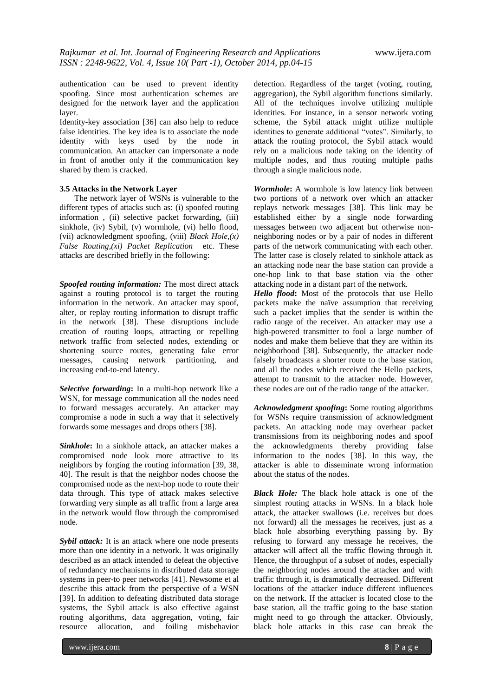authentication can be used to prevent identity spoofing. Since most authentication schemes are designed for the network layer and the application layer.

Identity-key association [36] can also help to reduce false identities. The key idea is to associate the node identity with keys used by the node in communication. An attacker can impersonate a node in front of another only if the communication key shared by them is cracked.

## **3.5 Attacks in the Network Layer**

The network layer of WSNs is vulnerable to the different types of attacks such as: (i) spoofed routing information , (ii) selective packet forwarding, (iii) sinkhole, (iv) Sybil, (v) wormhole, (vi) hello flood, (vii) acknowledgment spoofing, (viii) *Black Hole,(x) False Routing,(xi) Packet Replication* etc. These attacks are described briefly in the following:

*Spoofed routing information:* The most direct attack against a routing protocol is to target the routing information in the network. An attacker may spoof, alter, or replay routing information to disrupt traffic in the network [38]. These disruptions include creation of routing loops, attracting or repelling network traffic from selected nodes, extending or shortening source routes, generating fake error messages, causing network partitioning, and increasing end-to-end latency.

*Selective forwarding***:** In a multi-hop network like a WSN, for message communication all the nodes need to forward messages accurately. An attacker may compromise a node in such a way that it selectively forwards some messages and drops others [38].

*Sinkhole***:** In a sinkhole attack, an attacker makes a compromised node look more attractive to its neighbors by forging the routing information [39, 38, 40]. The result is that the neighbor nodes choose the compromised node as the next-hop node to route their data through. This type of attack makes selective forwarding very simple as all traffic from a large area in the network would flow through the compromised node.

*Sybil attack:* It is an attack where one node presents more than one identity in a network. It was originally described as an attack intended to defeat the objective of redundancy mechanisms in distributed data storage systems in peer-to peer networks [41]. Newsome et al describe this attack from the perspective of a WSN [39]. In addition to defeating distributed data storage systems, the Sybil attack is also effective against routing algorithms, data aggregation, voting, fair resource allocation, and foiling misbehavior detection. Regardless of the target (voting, routing, aggregation), the Sybil algorithm functions similarly. All of the techniques involve utilizing multiple identities. For instance, in a sensor network voting scheme, the Sybil attack might utilize multiple identities to generate additional "votes". Similarly, to attack the routing protocol, the Sybil attack would rely on a malicious node taking on the identity of multiple nodes, and thus routing multiple paths through a single malicious node.

*Wormhole***:** A wormhole is low latency link between two portions of a network over which an attacker replays network messages [38]. This link may be established either by a single node forwarding messages between two adjacent but otherwise nonneighboring nodes or by a pair of nodes in different parts of the network communicating with each other. The latter case is closely related to sinkhole attack as an attacking node near the base station can provide a one-hop link to that base station via the other attacking node in a distant part of the network.

*Hello flood***:** Most of the protocols that use Hello packets make the naïve assumption that receiving such a packet implies that the sender is within the radio range of the receiver. An attacker may use a high-powered transmitter to fool a large number of nodes and make them believe that they are within its neighborhood [38]. Subsequently, the attacker node falsely broadcasts a shorter route to the base station, and all the nodes which received the Hello packets, attempt to transmit to the attacker node. However, these nodes are out of the radio range of the attacker.

*Acknowledgment spoofing***:** Some routing algorithms for WSNs require transmission of acknowledgment packets. An attacking node may overhear packet transmissions from its neighboring nodes and spoof the acknowledgments thereby providing false information to the nodes [38]. In this way, the attacker is able to disseminate wrong information about the status of the nodes.

*Black Hole:* The black hole attack is one of the simplest routing attacks in WSNs. In a black hole attack, the attacker swallows (i.e. receives but does not forward) all the messages he receives, just as a black hole absorbing everything passing by. By refusing to forward any message he receives, the attacker will affect all the traffic flowing through it. Hence, the throughput of a subset of nodes, especially the neighboring nodes around the attacker and with traffic through it, is dramatically decreased. Different locations of the attacker induce different influences on the network. If the attacker is located close to the base station, all the traffic going to the base station might need to go through the attacker. Obviously, black hole attacks in this case can break the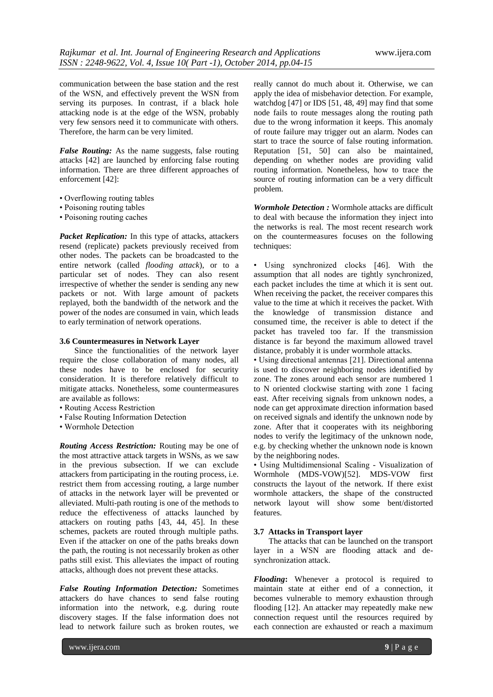communication between the base station and the rest of the WSN, and effectively prevent the WSN from serving its purposes. In contrast, if a black hole attacking node is at the edge of the WSN, probably very few sensors need it to communicate with others. Therefore, the harm can be very limited.

*False Routing:* As the name suggests, false routing attacks [42] are launched by enforcing false routing information. There are three different approaches of enforcement [42]:

- Overflowing routing tables
- Poisoning routing tables
- Poisoning routing caches

*Packet Replication:* In this type of attacks, attackers resend (replicate) packets previously received from other nodes. The packets can be broadcasted to the entire network (called *flooding attack*), or to a particular set of nodes. They can also resent irrespective of whether the sender is sending any new packets or not. With large amount of packets replayed, both the bandwidth of the network and the power of the nodes are consumed in vain, which leads to early termination of network operations.

#### **3.6 Countermeasures in Network Layer**

Since the functionalities of the network layer require the close collaboration of many nodes, all these nodes have to be enclosed for security consideration. It is therefore relatively difficult to mitigate attacks. Nonetheless, some countermeasures are available as follows:

- Routing Access Restriction
- False Routing Information Detection
- Wormhole Detection

*Routing Access Restriction:* Routing may be one of the most attractive attack targets in WSNs, as we saw in the previous subsection. If we can exclude attackers from participating in the routing process, i.e. restrict them from accessing routing, a large number of attacks in the network layer will be prevented or alleviated. Multi-path routing is one of the methods to reduce the effectiveness of attacks launched by attackers on routing paths [43, 44, 45]. In these schemes, packets are routed through multiple paths. Even if the attacker on one of the paths breaks down the path, the routing is not necessarily broken as other paths still exist. This alleviates the impact of routing attacks, although does not prevent these attacks.

*False Routing Information Detection:* Sometimes attackers do have chances to send false routing information into the network, e.g. during route discovery stages. If the false information does not lead to network failure such as broken routes, we

really cannot do much about it. Otherwise, we can apply the idea of misbehavior detection. For example, watchdog [47] or IDS [51, 48, 49] may find that some node fails to route messages along the routing path due to the wrong information it keeps. This anomaly of route failure may trigger out an alarm. Nodes can start to trace the source of false routing information. Reputation [51, 50] can also be maintained, depending on whether nodes are providing valid routing information. Nonetheless, how to trace the source of routing information can be a very difficult problem.

*Wormhole Detection :* Wormhole attacks are difficult to deal with because the information they inject into the networks is real. The most recent research work on the countermeasures focuses on the following techniques:

• Using synchronized clocks [46]. With the assumption that all nodes are tightly synchronized, each packet includes the time at which it is sent out. When receiving the packet, the receiver compares this value to the time at which it receives the packet. With the knowledge of transmission distance and consumed time, the receiver is able to detect if the packet has traveled too far. If the transmission distance is far beyond the maximum allowed travel distance, probably it is under wormhole attacks.

• Using directional antennas [21]. Directional antenna is used to discover neighboring nodes identified by zone. The zones around each sensor are numbered 1 to N oriented clockwise starting with zone 1 facing east. After receiving signals from unknown nodes, a node can get approximate direction information based on received signals and identify the unknown node by zone. After that it cooperates with its neighboring nodes to verify the legitimacy of the unknown node, e.g. by checking whether the unknown node is known by the neighboring nodes.

• Using Multidimensional Scaling - Visualization of Wormhole (MDS-VOW)[52]. MDS-VOW first constructs the layout of the network. If there exist wormhole attackers, the shape of the constructed network layout will show some bent/distorted features.

#### **3.7 Attacks in Transport layer**

The attacks that can be launched on the transport layer in a WSN are flooding attack and desynchronization attack.

*Flooding***:** Whenever a protocol is required to maintain state at either end of a connection, it becomes vulnerable to memory exhaustion through flooding [12]. An attacker may repeatedly make new connection request until the resources required by each connection are exhausted or reach a maximum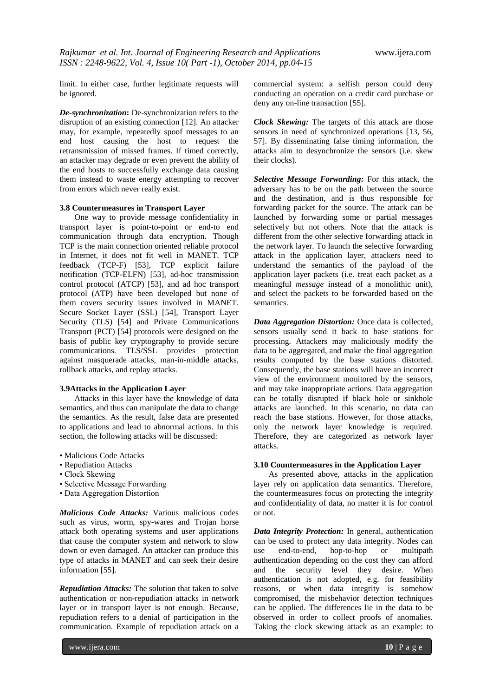limit. In either case, further legitimate requests will be ignored.

*De-synchronization***:** De-synchronization refers to the disruption of an existing connection [12]. An attacker may, for example, repeatedly spoof messages to an end host causing the host to request the retransmission of missed frames. If timed correctly, an attacker may degrade or even prevent the ability of the end hosts to successfully exchange data causing them instead to waste energy attempting to recover from errors which never really exist.

#### **3.8 Countermeasures in Transport Layer**

One way to provide message confidentiality in transport layer is point-to-point or end-to end communication through data encryption. Though TCP is the main connection oriented reliable protocol in Internet, it does not fit well in MANET. TCP feedback (TCP-F) [53], TCP explicit failure notification (TCP-ELFN) [53], ad-hoc transmission control protocol (ATCP) [53], and ad hoc transport protocol (ATP) have been developed but none of them covers security issues involved in MANET. Secure Socket Layer (SSL) [54], Transport Layer Security (TLS) [54] and Private Communications Transport (PCT) [54] protocols were designed on the basis of public key cryptography to provide secure communications. TLS/SSL provides protection against masquerade attacks, man-in-middle attacks, rollback attacks, and replay attacks.

#### **3.9Attacks in the Application Layer**

Attacks in this layer have the knowledge of data semantics, and thus can manipulate the data to change the semantics. As the result, false data are presented to applications and lead to abnormal actions. In this section, the following attacks will be discussed:

- Malicious Code Attacks
- Repudiation Attacks
- Clock Skewing
- Selective Message Forwarding
- Data Aggregation Distortion

*Malicious Code Attacks:* Various malicious codes such as virus, worm, spy-wares and Trojan horse attack both operating systems and user applications that cause the computer system and network to slow down or even damaged. An attacker can produce this type of attacks in MANET and can seek their desire information [55].

*Repudiation Attacks:* The solution that taken to solve authentication or non-repudiation attacks in network layer or in transport layer is not enough. Because, repudiation refers to a denial of participation in the communication. Example of repudiation attack on a commercial system: a selfish person could deny conducting an operation on a credit card purchase or deny any on-line transaction [55].

*Clock Skewing:* The targets of this attack are those sensors in need of synchronized operations [13, 56, 57]. By disseminating false timing information, the attacks aim to desynchronize the sensors (i.e. skew their clocks).

*Selective Message Forwarding:* For this attack, the adversary has to be on the path between the source and the destination, and is thus responsible for forwarding packet for the source. The attack can be launched by forwarding some or partial messages selectively but not others. Note that the attack is different from the other selective forwarding attack in the network layer. To launch the selective forwarding attack in the application layer, attackers need to understand the semantics of the payload of the application layer packets (i.e. treat each packet as a meaningful *message* instead of a monolithic unit), and select the packets to be forwarded based on the semantics.

*Data Aggregation Distortion:* Once data is collected, sensors usually send it back to base stations for processing. Attackers may maliciously modify the data to be aggregated, and make the final aggregation results computed by the base stations distorted. Consequently, the base stations will have an incorrect view of the environment monitored by the sensors, and may take inappropriate actions. Data aggregation can be totally disrupted if black hole or sinkhole attacks are launched. In this scenario, no data can reach the base stations. However, for those attacks, only the network layer knowledge is required. Therefore, they are categorized as network layer attacks.

## **3.10 Countermeasures in the Application Layer**

As presented above, attacks in the application layer rely on application data semantics. Therefore, the countermeasures focus on protecting the integrity and confidentiality of data, no matter it is for control or not.

*Data Integrity Protection:* In general, authentication can be used to protect any data integrity. Nodes can use end-to-end, hop-to-hop or multipath authentication depending on the cost they can afford and the security level they desire. When authentication is not adopted, e.g. for feasibility reasons, or when data integrity is somehow compromised, the misbehavior detection techniques can be applied. The differences lie in the data to be observed in order to collect proofs of anomalies. Taking the clock skewing attack as an example: to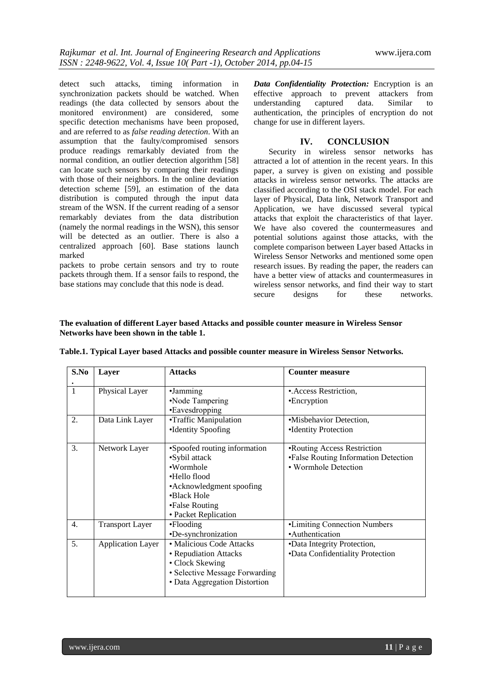detect such attacks, timing information in synchronization packets should be watched. When readings (the data collected by sensors about the monitored environment) are considered, some specific detection mechanisms have been proposed, and are referred to as *false reading detection*. With an assumption that the faulty/compromised sensors produce readings remarkably deviated from the normal condition, an outlier detection algorithm [58] can locate such sensors by comparing their readings with those of their neighbors. In the online deviation detection scheme [59], an estimation of the data distribution is computed through the input data stream of the WSN. If the current reading of a sensor remarkably deviates from the data distribution (namely the normal readings in the WSN), this sensor will be detected as an outlier. There is also a centralized approach [60]. Base stations launch marked

packets to probe certain sensors and try to route packets through them. If a sensor fails to respond, the base stations may conclude that this node is dead.

*Data Confidentiality Protection:* Encryption is an effective approach to prevent attackers from understanding captured data. Similar to authentication, the principles of encryption do not change for use in different layers.

# **IV. CONCLUSION**

Security in wireless sensor networks has attracted a lot of attention in the recent years. In this paper, a survey is given on existing and possible attacks in wireless sensor networks. The attacks are classified according to the OSI stack model. For each layer of Physical, Data link, Network Transport and Application, we have discussed several typical attacks that exploit the characteristics of that layer. We have also covered the countermeasures and potential solutions against those attacks, with the complete comparison between Layer based Attacks in Wireless Sensor Networks and mentioned some open research issues. By reading the paper, the readers can have a better view of attacks and countermeasures in wireless sensor networks, and find their way to start secure designs for these networks.

## **The evaluation of different Layer based Attacks and possible counter measure in Wireless Sensor Networks have been shown in the table 1.**

| S.No         | Layer                    | <b>Attacks</b>                 | <b>Counter measure</b>                |
|--------------|--------------------------|--------------------------------|---------------------------------------|
| $\mathbf{1}$ | Physical Layer           | •Jamming                       | • Access Restriction,                 |
|              |                          | •Node Tampering                | •Encryption                           |
|              |                          | •Eavesdropping                 |                                       |
| 2.           | Data Link Layer          | •Traffic Manipulation          | •Misbehavior Detection,               |
|              |                          | •Identity Spoofing             | •Identity Protection                  |
| 3.           | Network Layer            | •Spoofed routing information   | •Routing Access Restriction           |
|              |                          | •Sybil attack                  | • False Routing Information Detection |
|              |                          | •Wormhole                      | • Wormhole Detection                  |
|              |                          | •Hello flood                   |                                       |
|              |                          | •Acknowledgment spoofing       |                                       |
|              |                          | •Black Hole                    |                                       |
|              |                          | •False Routing                 |                                       |
|              |                          | • Packet Replication           |                                       |
| 4.           | <b>Transport Layer</b>   | •Flooding                      | •Limiting Connection Numbers          |
|              |                          | •De-synchronization            | •Authentication                       |
| 5.           | <b>Application Layer</b> | • Malicious Code Attacks       | •Data Integrity Protection,           |
|              |                          | • Repudiation Attacks          | •Data Confidentiality Protection      |
|              |                          | • Clock Skewing                |                                       |
|              |                          | • Selective Message Forwarding |                                       |
|              |                          | • Data Aggregation Distortion  |                                       |
|              |                          |                                |                                       |

**Table.1. Typical Layer based Attacks and possible counter measure in Wireless Sensor Networks.**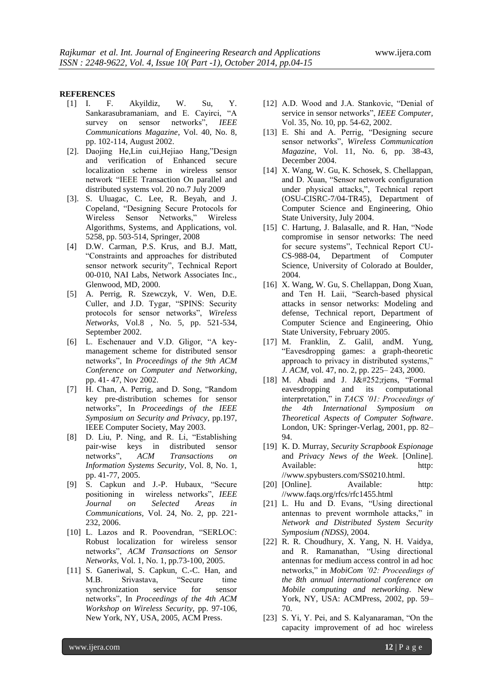### **REFERENCES**

- [1] I. F. Akyildiz, W. Su, Y. Sankarasubramaniam, and E. Cayirci, "A survey on sensor networks", *IEEE Communications Magazine*, Vol. 40, No. 8, pp. 102-114, August 2002.
- [2]. Daojing He,Lin cui,Hejiao Hang,"Design and verification of Enhanced secure localization scheme in wireless sensor network "IEEE Transaction On parallel and distributed systems vol. 20 no.7 July 2009
- [3]. S. Uluagac, C. Lee, R. Beyah, and J. Copeland, "Designing Secure Protocols for Wireless Sensor Networks," Wireless Algorithms, Systems, and Applications, vol. 5258, pp. 503-514, Springer, 2008
- [4] D.W. Carman, P.S. Krus, and B.J. Matt, "Constraints and approaches for distributed sensor network security", Technical Report 00-010, NAI Labs, Network Associates Inc., Glenwood, MD, 2000.
- [5] A. Perrig, R. Szewczyk, V. Wen, D.E. Culler, and J.D. Tygar, "SPINS: Security protocols for sensor networks", *Wireless Networks*, Vol.8 , No. 5, pp. 521-534, September 2002.
- [6] L. Eschenauer and V.D. Gligor, "A keymanagement scheme for distributed sensor networks", In *Proceedings of the 9th ACM Conference on Computer and Networking*, pp. 41- 47, Nov 2002.
- [7] H. Chan, A. Perrig, and D. Song, "Random key pre-distribution schemes for sensor networks", In *Proceedings of the IEEE Symposium on Security and Privacy*, pp.197, IEEE Computer Society, May 2003.
- [8] D. Liu, P. Ning, and R. Li, "Establishing pair-wise keys in distributed sensor networks", *ACM Transactions on Information Systems Security*, Vol. 8, No. 1, pp. 41-77, 2005.
- [9] S. Capkun and J.-P. Hubaux, "Secure positioning in wireless networks", *IEEE Journal on Selected Areas in Communications,* Vol. 24, No. 2, pp. 221- 232, 2006.
- [10] L. Lazos and R. Poovendran, "SERLOC: Robust localization for wireless sensor networks", *ACM Transactions on Sensor Networks,* Vol. 1, No. 1, pp.73-100, 2005.
- [11] S. Ganeriwal, S. Capkun, C.-C. Han, and M.B. Srivastava, "Secure time synchronization service for sensor networks", In *Proceedings of the 4th ACM Workshop on Wireless Security,* pp. 97-106, New York, NY, USA, 2005, ACM Press.
- [12] A.D. Wood and J.A. Stankovic, "Denial of service in sensor networks", *IEEE Computer,*  Vol. 35, No. 10, pp. 54-62, 2002.
- [13] E. Shi and A. Perrig, "Designing secure sensor networks", *Wireless Communication Magazine*, Vol. 11, No. 6, pp. 38-43, December 2004.
- [14] X. Wang, W. Gu, K. Schosek, S. Chellappan, and D. Xuan, "Sensor network configuration under physical attacks,", Technical report (OSU-CISRC-7/04-TR45), Department of Computer Science and Engineering, Ohio State University, July 2004.
- [15] C. Hartung, J. Balasalle, and R. Han, "Node compromise in sensor networks: The need for secure systems", Technical Report CU-CS-988-04, Department of Computer Science, University of Colorado at Boulder, 2004.
- [16] X. Wang, W. Gu, S. Chellappan, Dong Xuan, and Ten H. Laii, "Search-based physical attacks in sensor networks: Modeling and defense, Technical report, Department of Computer Science and Engineering, Ohio State University, February 2005.
- [17] M. Franklin, Z. Galil, and M. Yung, "Eavesdropping games: a graph-theoretic approach to privacy in distributed systems," *J. ACM*, vol. 47, no. 2, pp. 225– 243, 2000.
- [18] M. Abadi and J. Jü rjens, "Formal eavesdropping and its computational interpretation," in *TACS '01: Proceedings of the 4th International Symposium on Theoretical Aspects of Computer Software*. London, UK: Springer-Verlag, 2001, pp. 82– 94.
- [19] K. D. Murray, *Security Scrapbook Espionage*  and *Privacy News of the Week*. [Online]. Available: http: //www.spybusters.com/SS0210.html.
- [20] [Online]. Available: http: //www.faqs.org/rfcs/rfc1455.html
- [21] L. Hu and D. Evans, "Using directional antennas to prevent wormhole attacks," in *Network and Distributed System Security Symposium (NDSS)*, 2004.
- [22] R. R. Choudhury, X. Yang, N. H. Vaidya, and R. Ramanathan, "Using directional antennas for medium access control in ad hoc networks," in *MobiCom '02: Proceedings of the 8th annual international conference on Mobile computing and networking*. New York, NY, USA: ACMPress, 2002, pp. 59– 70.
- [23] S. Yi, Y. Pei, and S. Kalyanaraman, "On the capacity improvement of ad hoc wireless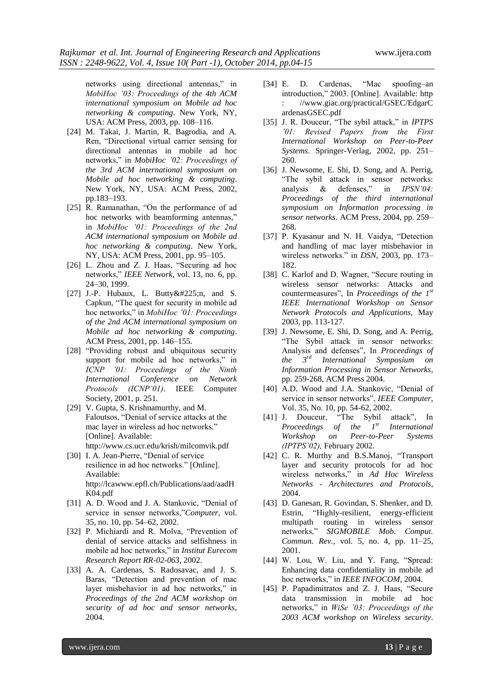networks using directional antennas," in *MobiHoc '03: Proceedings of the 4th ACM international symposium on Mobile ad hoc networking & computing*. New York, NY, USA: ACM Press, 2003, pp. 108–116.

- [24] M. Takai, J. Martin, R. Bagrodia, and A. Ren, "Directional virtual carrier sensing for directional antennas in mobile ad hoc networks," in *MobiHoc '02: Proceedings of the 3rd ACM international symposium on Mobile ad hoc networking & computing*. New York, NY, USA: ACM Press, 2002, pp.183–193.
- [25] R. Ramanathan, "On the performance of ad hoc networks with beamforming antennas," in *MobiHoc '01: Proceedings of the 2nd ACM international symposium on Mobile ad hoc networking & computing*. New York, NY, USA: ACM Press, 2001, pp. 95–105.
- [26] L. Zhou and Z. J. Haas, "Securing ad hoc networks," *IEEE Network*, vol. 13, no. 6, pp. 24–30, 1999.
- [27] J.-P. Hubaux, L. Buttyán, and S. Capkun, "The quest for security in mobile ad hoc networks," in *MobiHoc '01: Proceedings of the 2nd ACM international symposium on Mobile ad hoc networking & computing*. ACM Press, 2001, pp. 146–155.
- [28] "Providing robust and ubiquitous security support for mobile ad hoc networks," in *ICNP '01: Proceedings of the Ninth International Conference on Network Protocols (ICNP'01)*. IEEE Computer Society, 2001, p. 251.
- [29] V. Gupta, S. Krishnamurthy, and M. Faloutsos, "Denial of service attacks at the mac layer in wireless ad hoc networks." [Online]. Available: http://www.cs.ucr.edu/krish/milcomvik.pdf
- [30] I. A. Jean-Pierre, "Denial of service resilience in ad hoc networks." [Online]. Available: http://lcawww.epfl.ch/Publications/aad/aadH K04.pdf
- [31] A. D. Wood and J. A. Stankovic, "Denial of service in sensor networks,"*Computer*, vol. 35, no. 10, pp. 54–62, 2002.
- [32] P. Michiardi and R. Molva, "Prevention of denial of service attacks and selfishness in mobile ad hoc networks," in *Institut Eurecom Research Report RR-02-063*, 2002.
- [33] A. A. Cardenas, S. Radosavac, and J. S. Baras, "Detection and prevention of mac layer misbehavior in ad hoc networks," in *Proceedings of the 2nd ACM workshop on security of ad hoc and sensor networks*, 2004.
- [34] E. D. Cardenas, "Mac spoofing–an introduction," 2003. [Online]. Available: http : //www.giac.org/practical/GSEC/EdgarC ardenasGSEC.pdf
- [35] J. R. Douceur, "The sybil attack," in *IPTPS '01: Revised Papers from the First International Workshop on Peer-to-Peer Systems*. Springer-Verlag, 2002, pp. 251– 260.
- [36] J. Newsome, E. Shi, D. Song, and A. Perrig, "The sybil attack in sensor networks: analysis & defenses," in *IPSN'04: Proceedings of the third international symposium on Information processing in sensor networks*. ACM Press, 2004, pp. 259– 268.
- [37] P. Kyasanur and N. H. Vaidya, "Detection and handling of mac layer misbehavior in wireless networks." in *DSN*, 2003, pp. 173– 182.
- [38] C. Karlof and D. Wagner, "Secure routing in wireless sensor networks: Attacks and countermeasures", In *Proceedings of the 1st IEEE International Workshop on Sensor Network Protocols and Applications,* May 2003, pp. 113-127.
- [39] J. Newsome, E. Shi, D. Song, and A. Perrig, "The Sybil attack in sensor networks: Analysis and defenses", In *Proceedings of the 3rd International Symposium on Information Processing in Sensor Networks*, pp. 259-268, ACM Press 2004.
- [40] A.D. Wood and J.A. Stankovic, "Denial of service in sensor networks", *IEEE Computer,*  Vol. 35, No. 10, pp. 54-62, 2002.
- [41] J. Douceur, "The Sybil attack", In *Proceedings of the 1st International Workshop on Peer-to-Peer Systems (IPTPS'02),* February 2002.
- [42] C. R. Murthy and B.S.Manoj, "Transport" layer and security protocols for ad hoc wireless networks," in *Ad Hoc Wireless Networks - Architectures and Protocols*, 2004.
- [43] D. Ganesan, R. Govindan, S. Shenker, and D. Estrin, "Highly-resilient, energy-efficient multipath routing in wireless sensor networks," *SIGMOBILE Mob. Comput. Commun. Rev.*, vol. 5, no. 4, pp. 11–25, 2001.
- [44] W. Lou, W. Liu, and Y. Fang, "Spread: Enhancing data confidentiality in mobile ad hoc networks," in *IEEE INFOCOM*, 2004.
- [45] P. Papadimitratos and Z. J. Haas, "Secure data transmission in mobile ad hoc networks," in *WiSe '03: Proceedings of the 2003 ACM workshop on Wireless security*.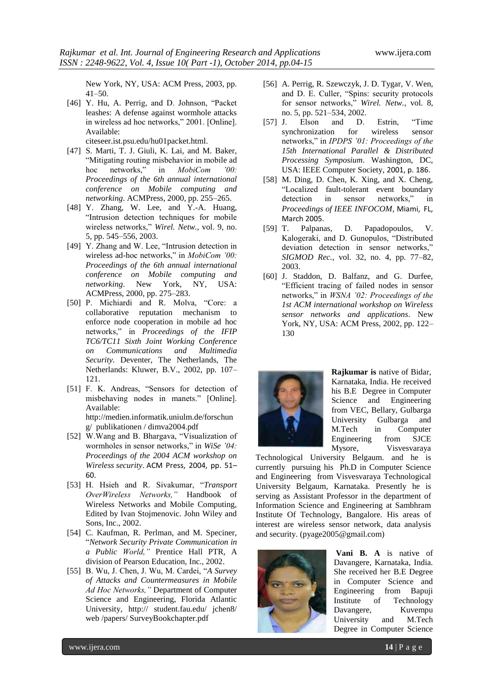New York, NY, USA: ACM Press, 2003, pp.  $41 - 50$ 

[46] Y. Hu, A. Perrig, and D. Johnson, "Packet leashes: A defense against wormhole attacks in wireless ad hoc networks," 2001. [Online]. Available:

citeseer.ist.psu.edu/hu01packet.html.

- [47] S. Marti, T. J. Giuli, K. Lai, and M. Baker, "Mitigating routing misbehavior in mobile ad hoc networks," in *MobiCom '00: Proceedings of the 6th annual international conference on Mobile computing and networking*. ACMPress, 2000, pp. 255–265.
- [48] Y. Zhang, W. Lee, and Y.-A. Huang, "Intrusion detection techniques for mobile wireless networks," *Wirel. Netw.*, vol. 9, no. 5, pp. 545–556, 2003.
- [49] Y. Zhang and W. Lee, "Intrusion detection in wireless ad-hoc networks," in *MobiCom '00: Proceedings of the 6th annual international conference on Mobile computing and networking*. New York, NY, USA: ACMPress, 2000, pp. 275–283.
- [50] P. Michiardi and R. Molva, "Core: a collaborative reputation mechanism to enforce node cooperation in mobile ad hoc networks," in *Proceedings of the IFIP TC6/TC11 Sixth Joint Working Conference on Communications and Multimedia Security*. Deventer, The Netherlands, The Netherlands: Kluwer, B.V., 2002, pp. 107– 121.
- [51] F. K. Andreas, "Sensors for detection of misbehaving nodes in manets." [Online]. Available: [http://medien.informatik.uniulm.de/forschun](http://medien.informatik.uniulm.de/forschung) [g/](http://medien.informatik.uniulm.de/forschung) publikationen / dimva2004.pdf
- [52] W.Wang and B. Bhargava, "Visualization of wormholes in sensor networks," in *WiSe '04: Proceedings of the 2004 ACM workshop on Wireless security*. ACM Press, 2004, pp. 51– 60.
- [53] H. Hsieh and R. Sivakumar, "*Transport OverWireless Networks,"* Handbook of Wireless Networks and Mobile Computing, Edited by Ivan Stojmenovic. John Wiley and Sons, Inc., 2002.
- [54] C. Kaufman, R. Perlman, and M. Speciner, "*Network Security Private Communication in a Public World,"* Prentice Hall PTR, A division of Pearson Education, Inc., 2002.
- [55] B. Wu, J. Chen, J. Wu, M. Cardei, "*A Survey of Attacks and Countermeasures in Mobile Ad Hoc Networks,"* Department of Computer Science and Engineering, Florida Atlantic University, http:// student.fau.edu/ jchen8/ web /papers/ SurveyBookchapter.pdf
- [56] A. Perrig, R. Szewczyk, J. D. Tygar, V. Wen, and D. E. Culler, "Spins: security protocols for sensor networks," *Wirel. Netw.*, vol. 8, no. 5, pp. 521–534, 2002.
- [57] J. Elson and D. Estrin, "Time synchronization for wireless sensor networks," in *IPDPS '01: Proceedings of the 15th International Parallel & Distributed Processing Symposium*. Washington, DC, USA: IEEE Computer Society, 2001, p. 186.
- [58] M. Ding, D. Chen, K. Xing, and X. Cheng, "Localized fault-tolerant event boundary detection in sensor networks," in *Proceedings of IEEE INFOCOM*, Miami, FL, March 2005.
- [59] T. Palpanas, D. Papadopoulos, V. Kalogeraki, and D. Gunopulos, "Distributed deviation detection in sensor networks," *SIGMOD Rec.*, vol. 32, no. 4, pp. 77–82, 2003.
- [60] J. Staddon, D. Balfanz, and G. Durfee, "Efficient tracing of failed nodes in sensor networks," in *WSNA '02: Proceedings of the 1st ACM international workshop on Wireless sensor networks and applications*. New York, NY, USA: ACM Press, 2002, pp. 122– 130



**Rajkumar is** native of Bidar, Karnataka, India. He received his B.E Degree in Computer Science and Engineering from VEC, Bellary, Gulbarga University Gulbarga and M.Tech in Computer Engineering from SJCE Mysore, Visvesvaraya

Technological University Belgaum. and he is currently pursuing his Ph.D in Computer Science and Engineering from Visvesvaraya Technological University Belgaum, Karnataka. Presently he is serving as Assistant Professor in the department of Information Science and Engineering at Sambhram Institute Of Technology, Bangalore. His areas of interest are wireless sensor network, data analysis and security. (pyage2005@gmail.com)



**Vani B. A** is native of Davangere, Karnataka, India. She received her B.E Degree in Computer Science and Engineering from Bapuji Institute of Technology Davangere, Kuvempu University and M.Tech Degree in Computer Science